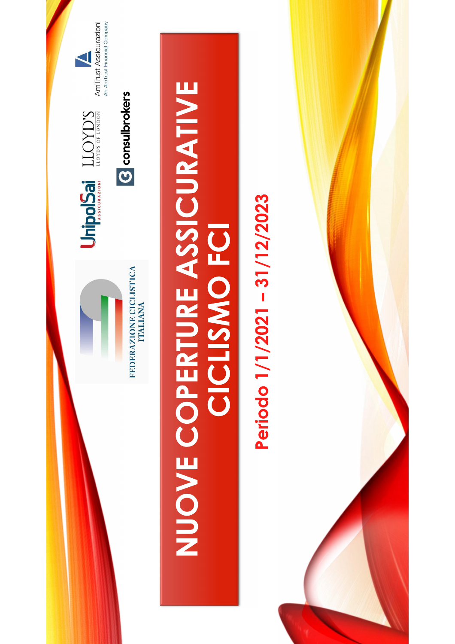

## NUOVE COPERTURE ASSICURATIVE **CICLISMO FCI**

## Periodo 1/1/2021 - 31/12/2023

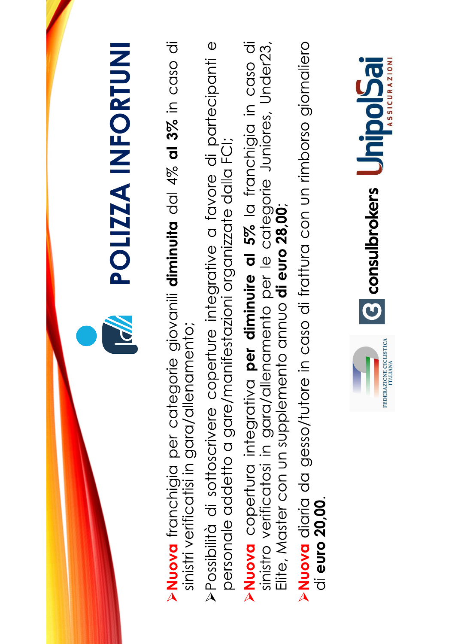

- **>Nuova** franchigia per categorie giovanii diminuita dal 4% al 3% in caso di sinistri verificatisi in gara/allenamento;
- >Possibilità di sottoscrivere coperture integrative a favore di partecipanti e personale addetto a gare/manifestazioni organizzate dalla FCI;
- **Nuova** copertura integrativa per diminuire al 5% la franchigia in caso di sinistro verificatosi in gara/allenamento per le categorie Juniores, Under23,<br>Elite, Master con un supplemento annuo **di euro 28,00**;
- **Nuova** diaria da gesso/tutore in caso di frattura con un rimborso giornaliero di euro 20,00.

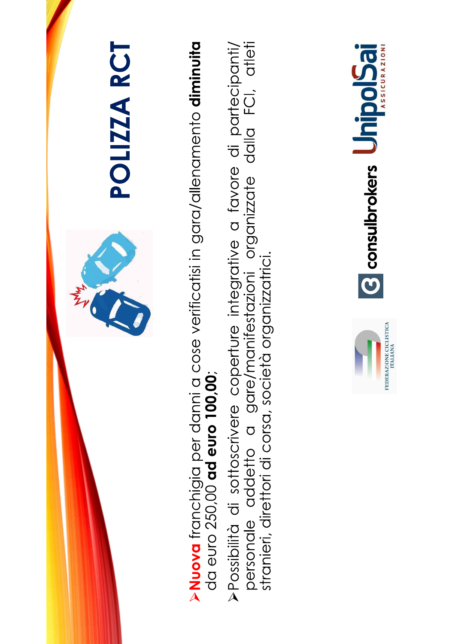

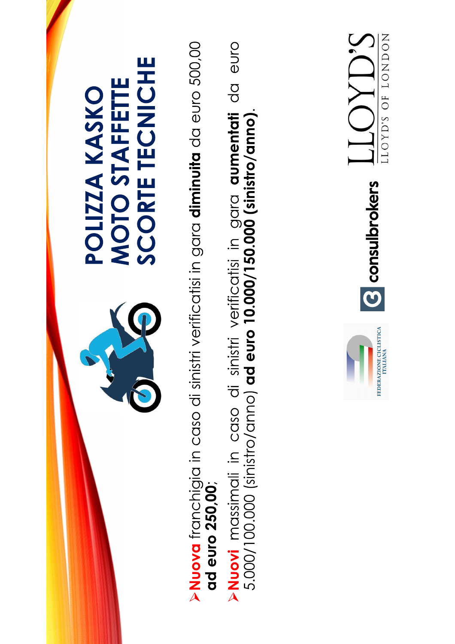

**>Nuovi** massimali in caso di sinistri verificatisi in gara **aumentati** da euro<br>5.000/100.000 (sinistro/anno) **ad euro 10.000/150.000 (sinistro/anno)**.

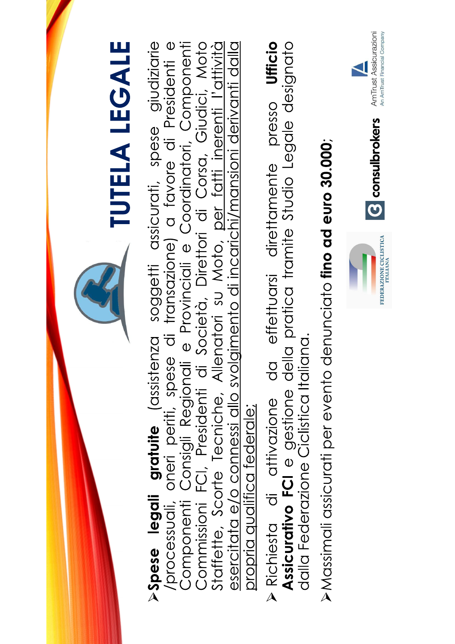

- Assicurativo FCI e gestione della pratica tramite Studio Legale designato dalla Federazione Ciclistica Italiana.
- $\triangleright$  Massimali assicurati per evento denunciato **fino ad euro 30.000**;